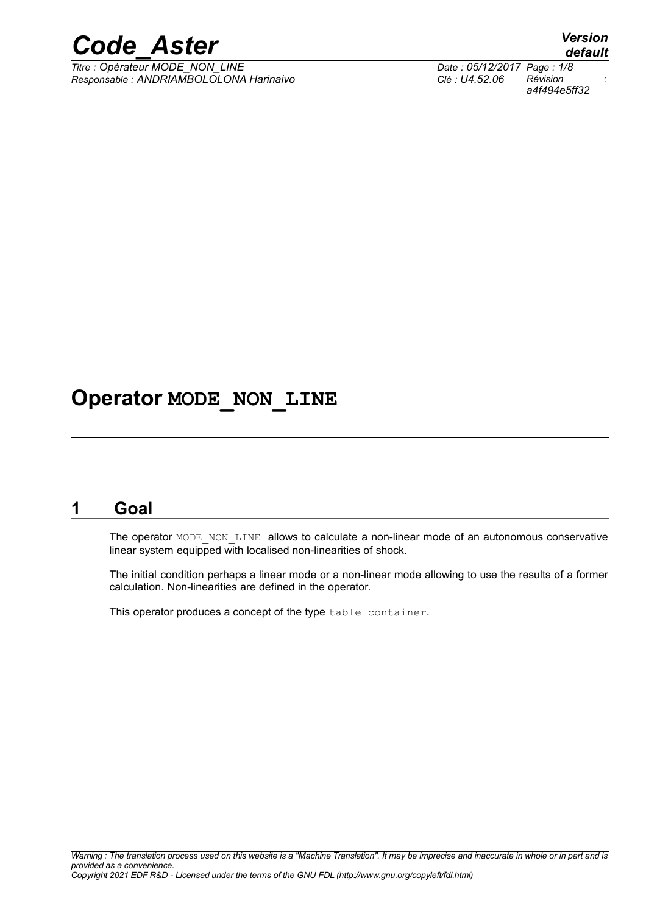

*Titre : Opérateur MODE\_NON\_LINE Date : 05/12/2017 Page : 1/8 Responsable : ANDRIAMBOLOLONA Harinaivo Clé : U4.52.06 Révision :*

### **Operator MODE\_NON\_LINE**

### **1 Goal**

The operator MODE\_NON\_LINE allows to calculate a non-linear mode of an autonomous conservative linear system equipped with localised non-linearities of shock.

The initial condition perhaps a linear mode or a non-linear mode allowing to use the results of a former calculation. Non-linearities are defined in the operator.

This operator produces a concept of the type table container.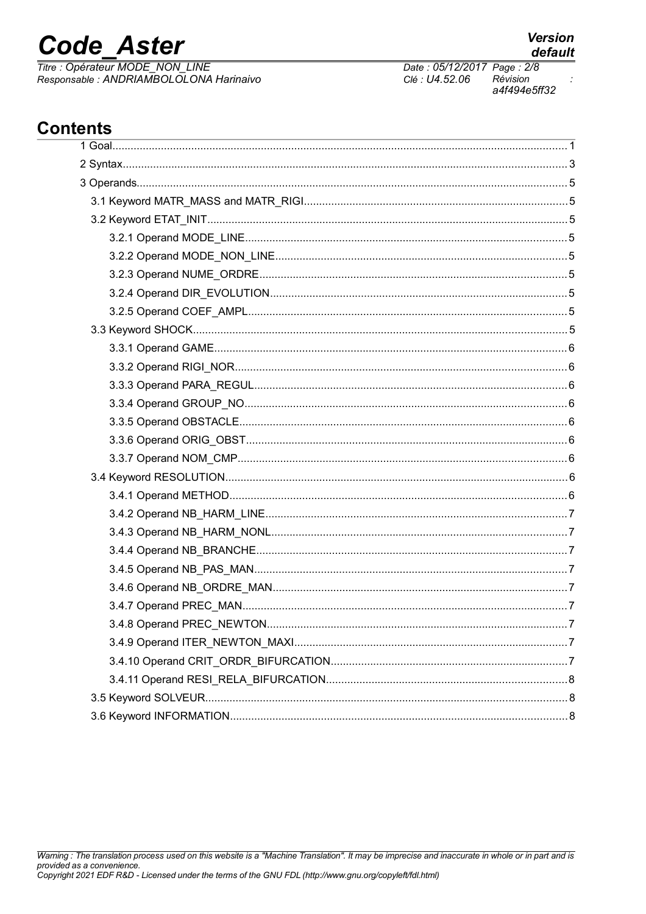## **Code Aster**

Titre : Opérateur MODE\_NON\_LINE<br>Responsable : ANDRIAMBOLOLONA Harinaivo

Date: 05/12/2017 Page: 2/8 Clé : U4.52.06 Révision a4f494e5ff32

### **Contents**

| . 7 |  |
|-----|--|
|     |  |
|     |  |
|     |  |
|     |  |
|     |  |

 $\cdot$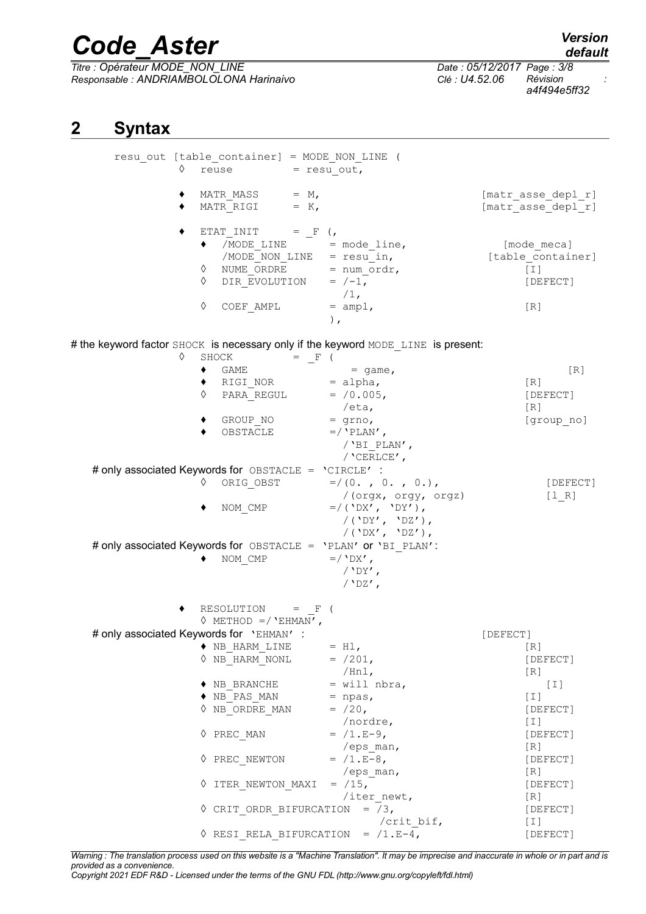*Titre : Opérateur MODE\_NON\_LINE Date : 05/12/2017 Page : 3/8 Responsable : ANDRIAMBOLOLONA Harinaivo Clé : U4.52.06 Révision :*

*a4f494e5ff32*

### **2 Syntax**

| ♦ | resu out [table container] = MODE NON LINE (<br>$reuse = resu out,$                                                                                                                                                                                                            |                                                                                                 |                                                              |
|---|--------------------------------------------------------------------------------------------------------------------------------------------------------------------------------------------------------------------------------------------------------------------------------|-------------------------------------------------------------------------------------------------|--------------------------------------------------------------|
|   | MATR MASS $= M,$<br>MATR RIGI = $K$ ,                                                                                                                                                                                                                                          |                                                                                                 | [matr asse depl r]<br>[matr asse depl r]                     |
|   | $ETAT\_INIT = _F ($<br>$\begin{array}{rcl} \text{\texttt{(MODE\_LINE)}} & = \texttt{mode\_line,} \end{array}$<br>/MODE <sup>I</sup> NON_LINE = $resu$ <sup>In</sup> ,<br>NUME <sup>ORDRE</sup> = num <sub>I</sub> ordr,<br>DIR_EVOLUTION = $/-1$ ,<br>♦<br>♦<br>♦<br>COEF AMPL | $/1$ ,<br>$=$ ampl,<br>$\,$ ,                                                                   | [mode meca]<br>[table container]<br>$[1]$<br>[DEFECT]<br>[R] |
| ♦ |                                                                                                                                                                                                                                                                                | # the keyword factor SHOCK is necessary only if the keyword MODE LINE is present:               |                                                              |
|   | SHOCK<br>$=$ F (<br>GAME<br>٠<br>$\bullet$ RIGI NOR = alpha,<br>♦<br>PARA REGUL<br>GROUP NO<br>OBSTACLE<br># only associated Keywords for OBSTACLE = 'CIRCLE' :                                                                                                                | $=$ qame,<br>$= /0.005$ ,<br>/eta,<br>$=$ grno,<br>$=$ /'PLAN',<br>/'BI PLAN',<br>/ $CERLCE'$ , | $\lceil R \rceil$<br>[R]<br>[DEFECT]<br>[R]<br>[group_no]    |
|   | ♦                                                                                                                                                                                                                                                                              | ORIG OBST $=/(0. , 0. , 0.),$                                                                   | [DEFECT]                                                     |
|   | NOM CMP                                                                                                                                                                                                                                                                        | /(orgx, orgy, orgz)<br>$= / ($ 'DX', 'DY'),<br>/('DY', 'DZ'),<br>/(DXY, DZ'),                   | [1 R]                                                        |
|   | # only associated Keywords for OBSTACLE = 'PLAN' or 'BI PLAN':<br>NOM CMP                                                                                                                                                                                                      | $=$ / $\Delta$ X',<br>$/$ 'DY',<br>/ $'DZ'$ ,                                                   |                                                              |
|   | RESOLUTION $=$ F (<br>$\Diamond$ METHOD =/ 'EHMAN',                                                                                                                                                                                                                            |                                                                                                 |                                                              |
|   | # only associated Keywords for 'EHMAN' :                                                                                                                                                                                                                                       |                                                                                                 | [DEFECT]                                                     |
|   | $\blacklozenge$ NB HARM LINE<br>$\Diamond$ NB HARM NONL                                                                                                                                                                                                                        | $= H1,$<br>$= /201,$<br>/Hnl,                                                                   | [R]<br>[DEFECT]<br>[R]                                       |
|   | $\blacklozenge$ NB BRANCHE                                                                                                                                                                                                                                                     | $=$ will nbra,                                                                                  | $[1]$                                                        |
|   | $\blacklozenge$ NB PAS MAN<br>$\Diamond$ NB ORDRE MAN                                                                                                                                                                                                                          | $=$ npas,<br>$= /20$ ,<br>/nordre,                                                              | $[1]$<br>[DEFECT]<br>[T]                                     |
|   | ♦ PREC MAN                                                                                                                                                                                                                                                                     | $= /1.E-9,$<br>/eps man,                                                                        | [DEFECT]<br>[R]                                              |
|   | ♦ PREC NEWTON                                                                                                                                                                                                                                                                  | $= /1.E-8,$<br>/eps man,                                                                        | [DEFECT]<br>[R]                                              |
|   | 0 ITER NEWTON MAXI                                                                                                                                                                                                                                                             | $= /15$ ,<br>/iter newt,                                                                        | [DEFECT]<br>[R]                                              |
|   | $\Diamond$ CRIT ORDR BIFURCATION = /3,                                                                                                                                                                                                                                         | /crit bif,                                                                                      | [DEFECT]<br>[T]                                              |
|   | $\Diamond$ RESI RELA BIFURCATION = /1.E-4,                                                                                                                                                                                                                                     |                                                                                                 | [DEFECT]                                                     |

*Warning : The translation process used on this website is a "Machine Translation". It may be imprecise and inaccurate in whole or in part and is provided as a convenience.*

*Copyright 2021 EDF R&D - Licensed under the terms of the GNU FDL (http://www.gnu.org/copyleft/fdl.html)*

*default*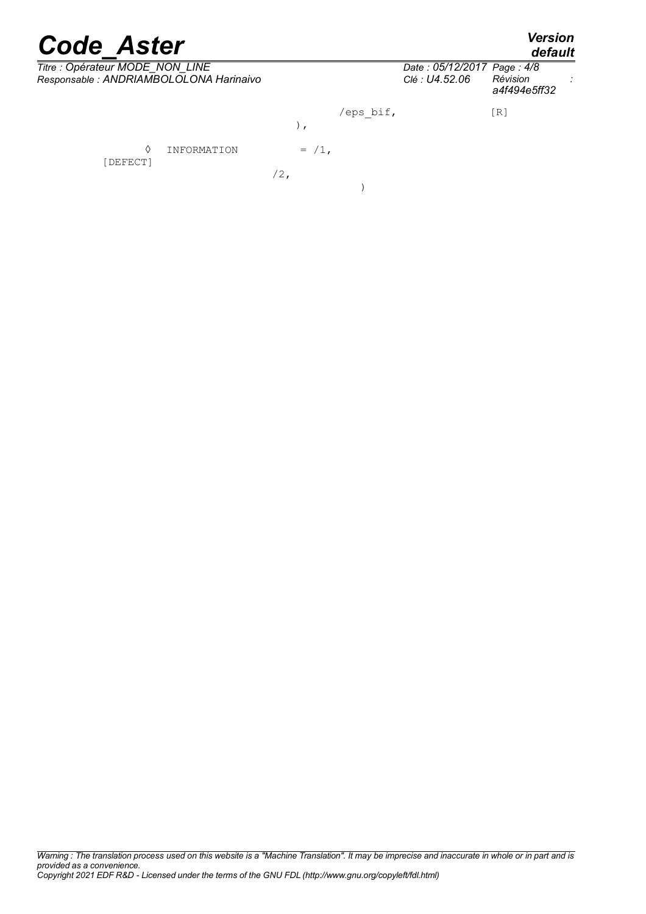*default*

| Titre : Opérateur MODE_NON_LINE<br>Responsable : ANDRIAMBOLOLONA Harinaivo |          |           | Date: 05/12/2017 Page: 4/8<br>Clé: U4.52.06 | Révision<br>a4f494e5ff32 |  |
|----------------------------------------------------------------------------|----------|-----------|---------------------------------------------|--------------------------|--|
|                                                                            | , ,      | /eps bif, |                                             | [R]                      |  |
| ♦<br>INFORMATION<br>[DEFECT]                                               | $= /1$ , |           |                                             |                          |  |
|                                                                            | $/2$ ,   |           |                                             |                          |  |

*Warning : The translation process used on this website is a "Machine Translation". It may be imprecise and inaccurate in whole or in part and is provided as a convenience. Copyright 2021 EDF R&D - Licensed under the terms of the GNU FDL (http://www.gnu.org/copyleft/fdl.html)*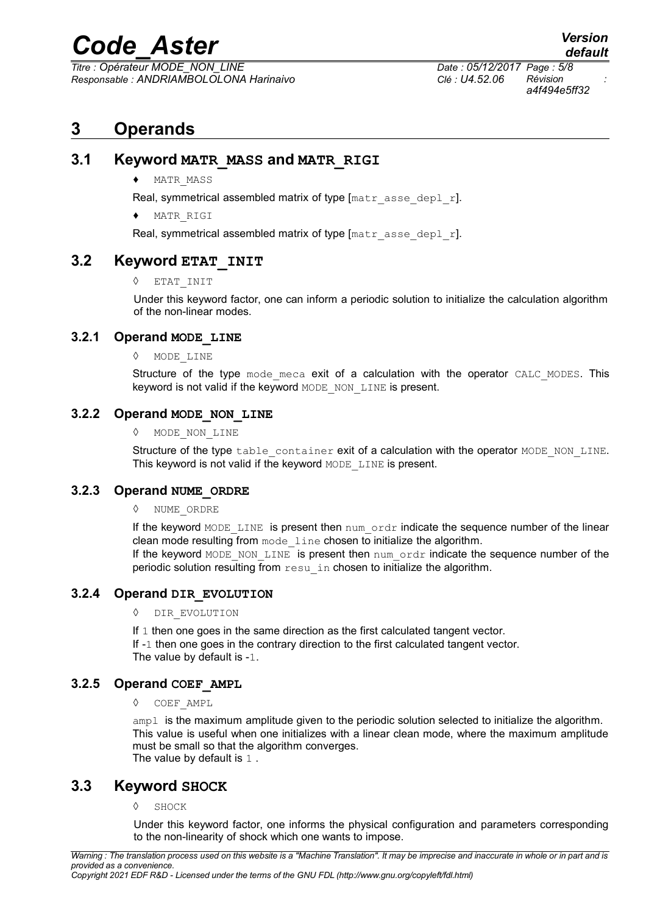*Titre : Opérateur MODE\_NON\_LINE Date : 05/12/2017 Page : 5/8 Responsable : ANDRIAMBOLOLONA Harinaivo Clé : U4.52.06 Révision :*

### **3 Operands**

#### **3.1 Keyword MATR\_MASS and MATR\_RIGI**

♦ MATR\_MASS

Real, symmetrical assembled matrix of type  $[\text{matr } \text{ assert} \text{ } \text{asse} \text{ } \text{depl } \text{ } \text{r}].$ 

MATR RIGI

Real, symmetrical assembled matrix of type  $[\text{matr } a \text{ sse\_depl } r]$ .

#### **3.2 Keyword ETAT\_INIT**

◊ ETAT\_INIT

Under this keyword factor, one can inform a periodic solution to initialize the calculation algorithm of the non-linear modes.

#### **3.2.1 Operand MODE\_LINE**

◊ MODE\_LINE

Structure of the type mode meca exit of a calculation with the operator CALC MODES. This keyword is not valid if the keyword MODE\_NON\_LINE is present.

#### **3.2.2 Operand MODE\_NON\_LINE**

◊ MODE\_NON\_LINE

Structure of the type table container exit of a calculation with the operator MODE\_NON\_LINE. This keyword is not valid if the keyword MODE LINE is present.

#### **3.2.3 Operand NUME\_ORDRE**

◊ NUME\_ORDRE

If the keyword MODE LINE is present then num ordr indicate the sequence number of the linear clean mode resulting from mode\_line chosen to initialize the algorithm. If the keyword MODE\_NON\_LINE is present then num\_ordr indicate the sequence number of the periodic solution resulting from resu in chosen to initialize the algorithm.

#### **3.2.4 Operand DIR\_EVOLUTION**

◊ DIR\_EVOLUTION

If 1 then one goes in the same direction as the first calculated tangent vector. If -1 then one goes in the contrary direction to the first calculated tangent vector. The value by default is -1.

#### **3.2.5 Operand COEF\_AMPL**

◊ COEF\_AMPL

ampl is the maximum amplitude given to the periodic solution selected to initialize the algorithm. This value is useful when one initializes with a linear clean mode, where the maximum amplitude must be small so that the algorithm converges. The value by default is 1 .

#### **3.3 Keyword SHOCK**

◊ SHOCK

Under this keyword factor, one informs the physical configuration and parameters corresponding to the non-linearity of shock which one wants to impose.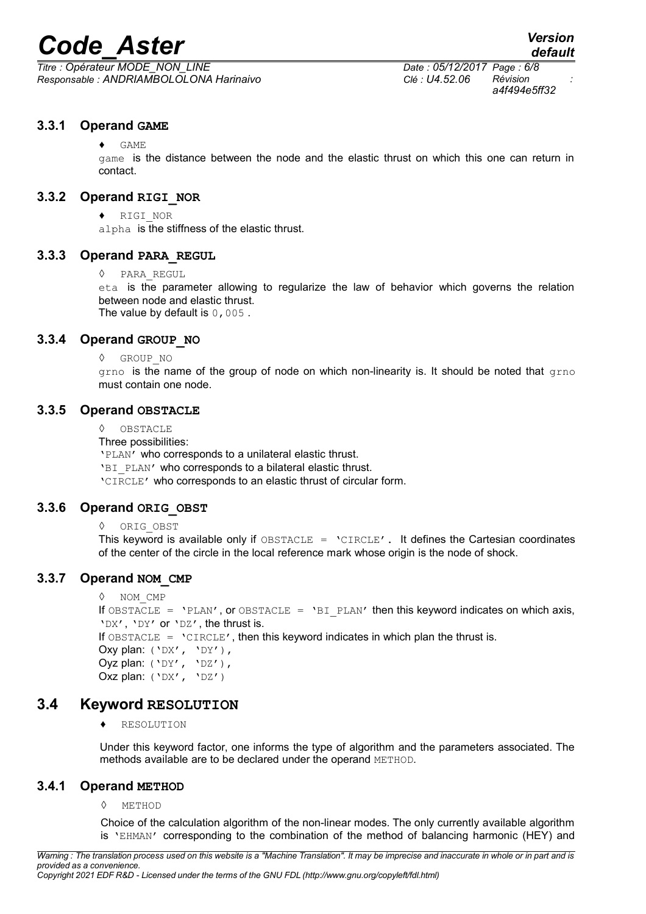*Titre : Opérateur MODE\_NON\_LINE Date : 05/12/2017 Page : 6/8 Responsable : ANDRIAMBOLOLONA Harinaivo Clé : U4.52.06 Révision :*

*a4f494e5ff32*

#### **3.3.1 Operand GAME**

 $\triangle$  GAME

game is the distance between the node and the elastic thrust on which this one can return in contact.

#### **3.3.2 Operand RIGI\_NOR**

♦ RIGI\_NOR

alpha is the stiffness of the elastic thrust.

#### **3.3.3 Operand PARA\_REGUL**

◊ PARA\_REGUL

eta is the parameter allowing to regularize the law of behavior which governs the relation between node and elastic thrust. The value by default is  $0,005$ .

#### **3.3.4 Operand GROUP\_NO**

◊ GROUP\_NO

grno is the name of the group of node on which non-linearity is. It should be noted that grno must contain one node.

#### **3.3.5 Operand OBSTACLE**

◊ OBSTACLE

Three possibilities:

'PLAN' who corresponds to a unilateral elastic thrust.

'BI\_PLAN' who corresponds to a bilateral elastic thrust.

'CIRCLE' who corresponds to an elastic thrust of circular form.

#### **3.3.6 Operand ORIG\_OBST**

◊ ORIG\_OBST

This keyword is available only if  $OBSTACLE = 'CIRCLE'$ . It defines the Cartesian coordinates of the center of the circle in the local reference mark whose origin is the node of shock.

#### **3.3.7 Operand NOM\_CMP**

```
◊ NOM_CMP
```

```
If OBSTACLE = 'PLAN', or OBSTACLE = 'BI PLAN' then this keyword indicates on which axis,
'DX', 'DY' or 'DZ', the thrust is.
```
If  $OBSTACLE = 'CIRCLE', then this keyword indicates in which plan the thrust is.$ 

```
Oxy plan: ('DX', 'DY'),
Oyz plan: ('DY', 'DZ'),
```

```
Oxz plan: ('DX', 'DZ')
```
#### **3.4 Keyword RESOLUTION**

♦ RESOLUTION

Under this keyword factor, one informs the type of algorithm and the parameters associated. The methods available are to be declared under the operand METHOD.

#### **3.4.1 Operand METHOD**

◊ METHOD

Choice of the calculation algorithm of the non-linear modes. The only currently available algorithm is 'EHMAN' corresponding to the combination of the method of balancing harmonic (HEY) and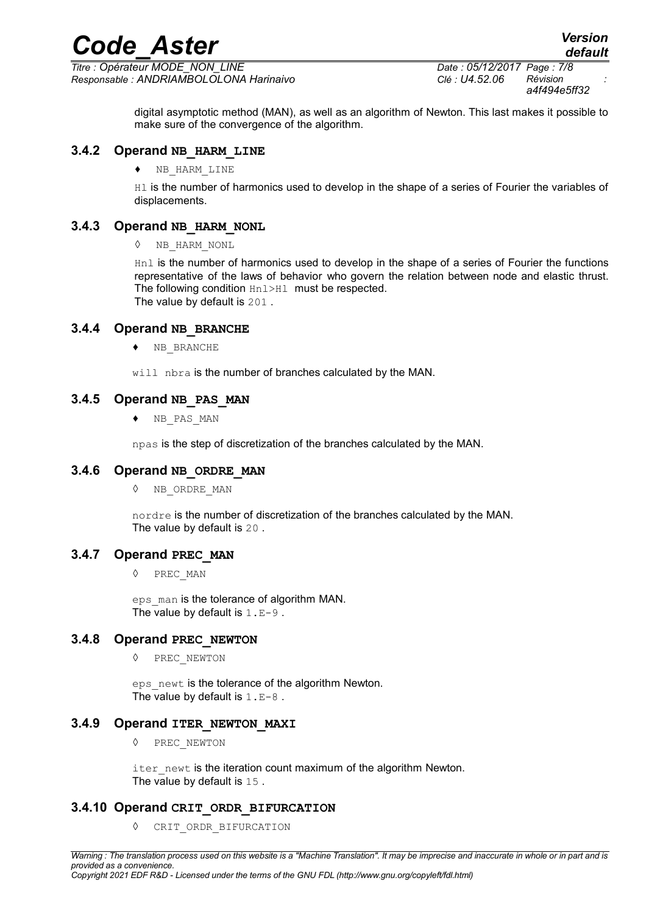*Titre : Opérateur MODE\_NON\_LINE Date : 05/12/2017 Page : 7/8 Responsable : ANDRIAMBOLOLONA Harinaivo Clé : U4.52.06 Révision :*

*default*

digital asymptotic method (MAN), as well as an algorithm of Newton. This last makes it possible to make sure of the convergence of the algorithm.

#### **3.4.2 Operand NB\_HARM\_LINE**

♦ NB\_HARM\_LINE

H1 is the number of harmonics used to develop in the shape of a series of Fourier the variables of displacements.

#### **3.4.3 Operand NB\_HARM\_NONL**

◊ NB\_HARM\_NONL

Hnl is the number of harmonics used to develop in the shape of a series of Fourier the functions representative of the laws of behavior who govern the relation between node and elastic thrust. The following condition Hnl>Hl must be respected. The value by default is 201 .

#### **3.4.4 Operand NB\_BRANCHE**

♦ NB\_BRANCHE

will nbra is the number of branches calculated by the MAN.

#### **3.4.5 Operand NB\_PAS\_MAN**

♦ NB\_PAS\_MAN

npas is the step of discretization of the branches calculated by the MAN.

#### **3.4.6 Operand NB\_ORDRE\_MAN**

◊ NB\_ORDRE\_MAN

nordre is the number of discretization of the branches calculated by the MAN. The value by default is 20 .

#### **3.4.7 Operand PREC\_MAN**

◊ PREC\_MAN

eps man is the tolerance of algorithm MAN. The value by default is  $1.E-9$ .

#### **3.4.8 Operand PREC\_NEWTON**

◊ PREC\_NEWTON

eps newt is the tolerance of the algorithm Newton. The value by default is  $1.E-8$ .

#### **3.4.9 Operand ITER\_NEWTON\_MAXI**

◊ PREC\_NEWTON

iter newt is the iteration count maximum of the algorithm Newton. The value by default is 15.

#### **3.4.10 Operand CRIT\_ORDR\_BIFURCATION**

◊ CRIT\_ORDR\_BIFURCATION